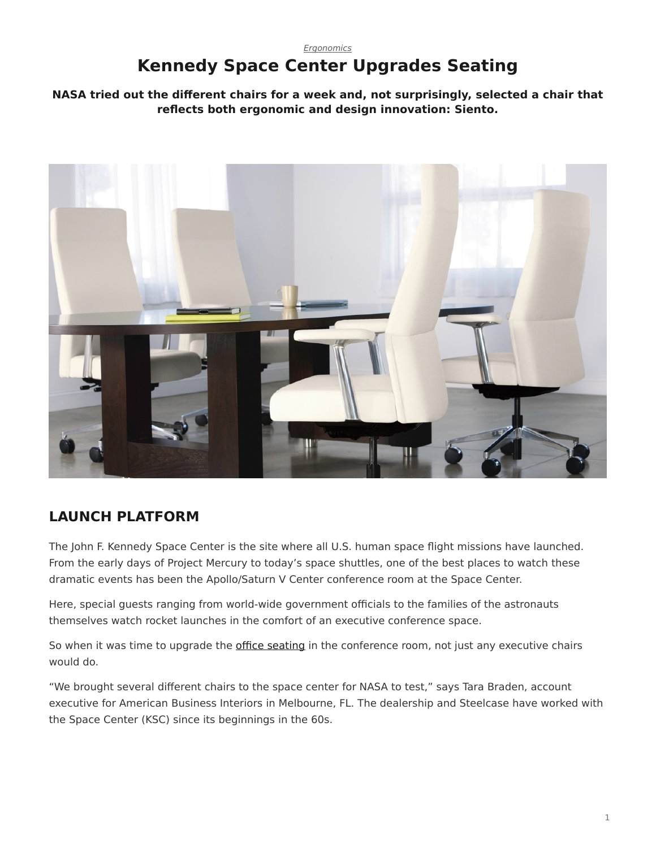### <span id="page-0-0"></span>*[Ergonomics](https://www.steelcase.com/research/topics/ergonomics/)* **Kennedy Space Center Upgrades Seating**

**NASA tried out the different chairs for a week and, not surprisingly, selected a chair that reflects both ergonomic and design innovation: Siento.**



# **LAUNCH PLATFORM**

The John F. Kennedy Space Center is the site where all U.S. human space flight missions have launched. From the early days of Project Mercury to today's space shuttles, one of the best places to watch these dramatic events has been the Apollo/Saturn V Center conference room at the Space Center.

Here, special guests ranging from world-wide government officials to the families of the astronauts themselves watch rocket launches in the comfort of an executive conference space.

So when it was time to upgrade the [office seating](https://www.steelcase.com/products/office-chairs/) in the conference room, not just any executive chairs would do.

"We brought several different chairs to the space center for NASA to test," says Tara Braden, account executive for American Business Interiors in Melbourne, FL. The dealership and Steelcase have worked with the Space Center (KSC) since its beginnings in the 60s.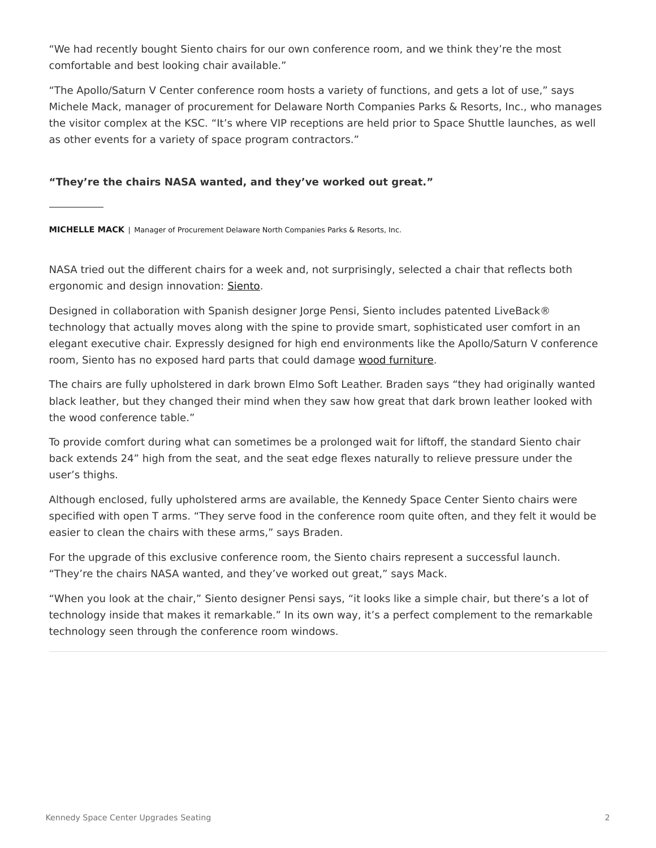"We had recently bought Siento chairs for our own conference room, and we think they're the most comfortable and best looking chair available."

"The Apollo/Saturn V Center conference room hosts a variety of functions, and gets a lot of use," says Michele Mack, manager of procurement for Delaware North Companies Parks & Resorts, Inc., who manages the visitor complex at the KSC. "It's where VIP receptions are held prior to Space Shuttle launches, as well as other events for a variety of space program contractors."

#### **"They're the chairs NASA wanted, and they've worked out great."**

**MICHELLE MACK** | Manager of Procurement Delaware North Companies Parks & Resorts, Inc.

NASA tried out the different chairs for a week and, not surprisingly, selected a chair that reflects both ergonomic and design innovation: [Siento.](https://www.steelcase.com/products/office-chairs/siento/)

Designed in collaboration with Spanish designer Jorge Pensi, Siento includes patented LiveBack® technology that actually moves along with the spine to provide smart, sophisticated user comfort in an elegant executive chair. Expressly designed for high end environments like the Apollo/Saturn V conference room, Siento has no exposed hard parts that could damage [wood furniture.](https://www.steelcase.com/wood-solutions/)

The chairs are fully upholstered in dark brown Elmo Soft Leather. Braden says "they had originally wanted black leather, but they changed their mind when they saw how great that dark brown leather looked with the wood conference table."

To provide comfort during what can sometimes be a prolonged wait for liftoff, the standard Siento chair back extends 24" high from the seat, and the seat edge flexes naturally to relieve pressure under the user's thighs.

Although enclosed, fully upholstered arms are available, the Kennedy Space Center Siento chairs were specified with open T arms. "They serve food in the conference room quite often, and they felt it would be easier to clean the chairs with these arms," says Braden.

For the upgrade of this exclusive conference room, the Siento chairs represent a successful launch. "They're the chairs NASA wanted, and they've worked out great," says Mack.

"When you look at the chair," Siento designer Pensi says, "it looks like a simple chair, but there's a lot of technology inside that makes it remarkable." In its own way, it's a perfect complement to the remarkable technology seen through the conference room windows.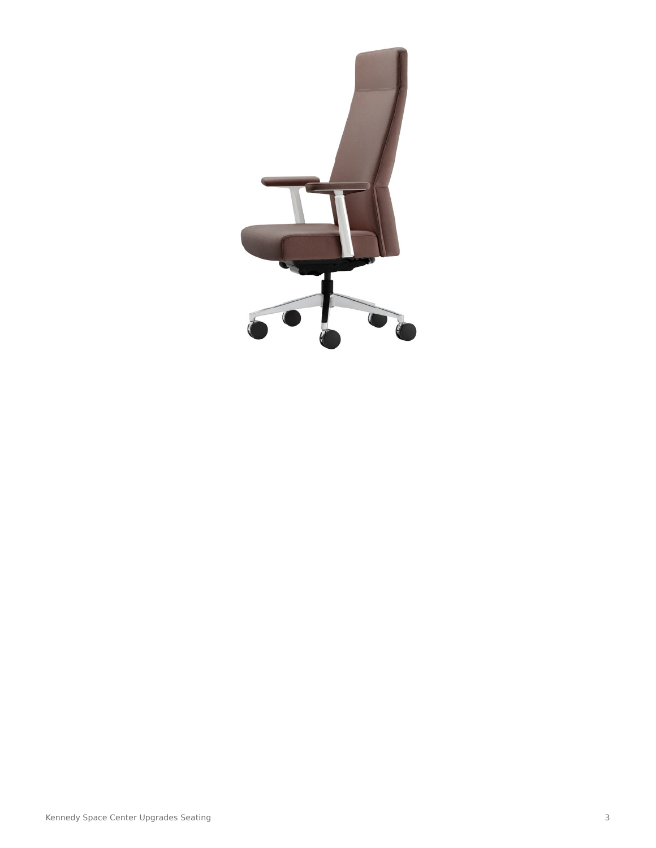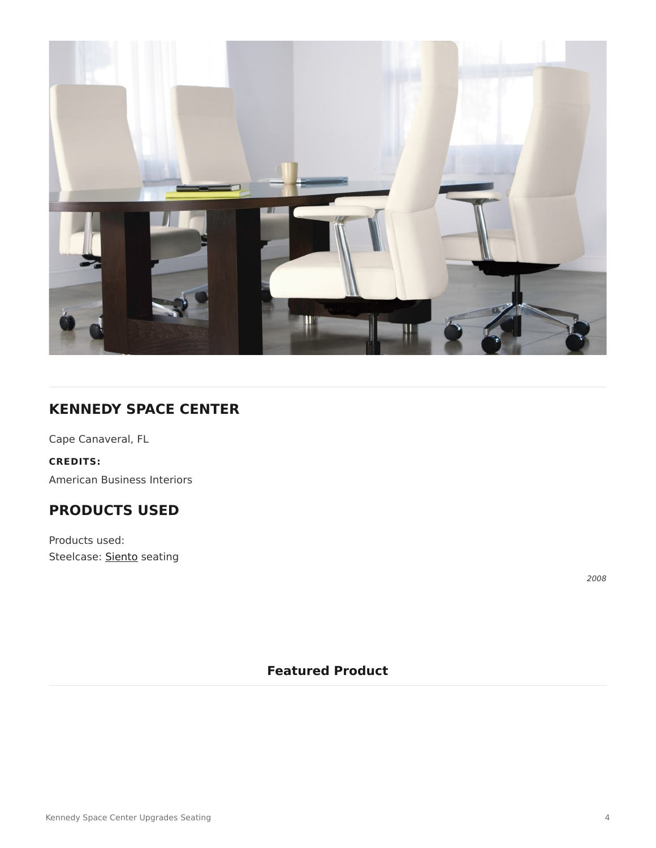

## **KENNEDY SPACE CENTER**

Cape Canaveral, FL

**CREDITS:** American Business Interiors

## **PRODUCTS USED**

Products used: Steelcase: [Siento](https://www.steelcase.com/products/office-chairs/siento/) seating

*2008*

### **Featured Product**